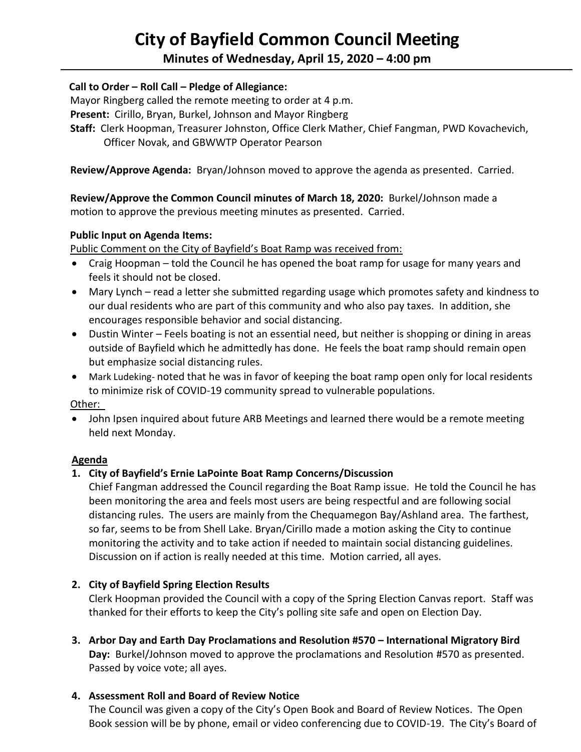# **City of Bayfield Common Council Meeting**

# **Minutes of Wednesday, April 15, 2020 – 4:00 pm**

## **Call to Order – Roll Call – Pledge of Allegiance:**

Mayor Ringberg called the remote meeting to order at 4 p.m.

**Present:** Cirillo, Bryan, Burkel, Johnson and Mayor Ringberg

 **Staff:** Clerk Hoopman, Treasurer Johnston, Office Clerk Mather, Chief Fangman, PWD Kovachevich, Officer Novak, and GBWWTP Operator Pearson

 **Review/Approve Agenda:** Bryan/Johnson moved to approve the agenda as presented. Carried.

 **Review/Approve the Common Council minutes of March 18, 2020:** Burkel/Johnson made a motion to approve the previous meeting minutes as presented. Carried.

#### **Public Input on Agenda Items:**

Public Comment on the City of Bayfield's Boat Ramp was received from:

- Craig Hoopman told the Council he has opened the boat ramp for usage for many years and feels it should not be closed.
- Mary Lynch read a letter she submitted regarding usage which promotes safety and kindness to our dual residents who are part of this community and who also pay taxes. In addition, she encourages responsible behavior and social distancing.
- Dustin Winter Feels boating is not an essential need, but neither is shopping or dining in areas outside of Bayfield which he admittedly has done. He feels the boat ramp should remain open but emphasize social distancing rules.
- Mark Ludeking- noted that he was in favor of keeping the boat ramp open only for local residents to minimize risk of COVID-19 community spread to vulnerable populations.

Other:

• John Ipsen inquired about future ARB Meetings and learned there would be a remote meeting held next Monday.

#### **Agenda**

# **1. City of Bayfield's Ernie LaPointe Boat Ramp Concerns/Discussion**

Chief Fangman addressed the Council regarding the Boat Ramp issue. He told the Council he has been monitoring the area and feels most users are being respectful and are following social distancing rules. The users are mainly from the Chequamegon Bay/Ashland area. The farthest, so far, seems to be from Shell Lake. Bryan/Cirillo made a motion asking the City to continue monitoring the activity and to take action if needed to maintain social distancing guidelines. Discussion on if action is really needed at this time. Motion carried, all ayes.

# **2. City of Bayfield Spring Election Results**

Clerk Hoopman provided the Council with a copy of the Spring Election Canvas report. Staff was thanked for their efforts to keep the City's polling site safe and open on Election Day.

**3. Arbor Day and Earth Day Proclamations and Resolution #570 – International Migratory Bird Day:** Burkel/Johnson moved to approve the proclamations and Resolution #570 as presented. Passed by voice vote; all ayes.

#### **4. Assessment Roll and Board of Review Notice**

The Council was given a copy of the City's Open Book and Board of Review Notices. The Open Book session will be by phone, email or video conferencing due to COVID-19. The City's Board of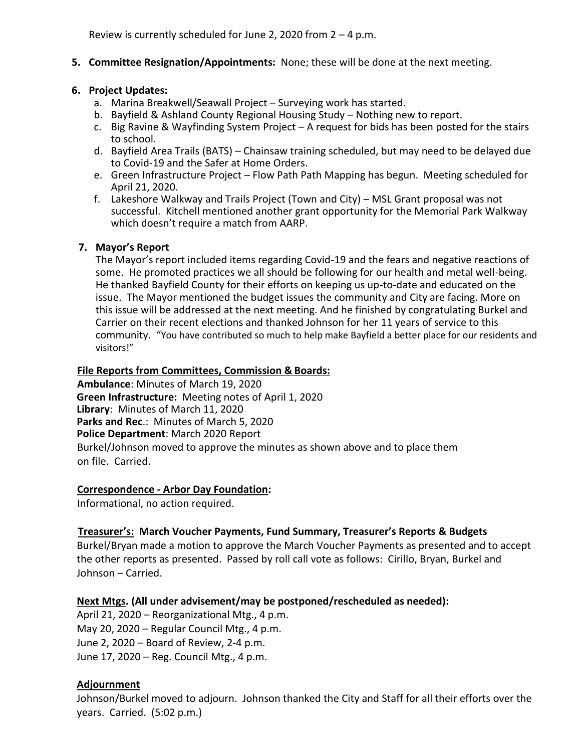#### **5. Committee Resignation/Appointments:** None; these will be done at the next meeting.

#### **6. Project Updates:**

- a. Marina Breakwell/Seawall Project Surveying work has started.
- b. Bayfield & Ashland County Regional Housing Study Nothing new to report.
- c. Big Ravine & Wayfinding System Project  $-A$  request for bids has been posted for the stairs to school.
- d. Bayfield Area Trails (BATS) Chainsaw training scheduled, but may need to be delayed due to Covid-19 and the Safer at Home Orders.
- e. Green Infrastructure Project Flow Path Path Mapping has begun. Meeting scheduled for April 21, 2020.
- f. Lakeshore Walkway and Trails Project (Town and City) MSL Grant proposal was not successful. Kitchell mentioned another grant opportunity for the Memorial Park Walkway which doesn't require a match from AARP.

## **7. Mayor's Report**

The Mayor's report included items regarding Covid-19 and the fears and negative reactions of some. He promoted practices we all should be following for our health and metal well-being. He thanked Bayfield County for their efforts on keeping us up-to-date and educated on the issue. The Mayor mentioned the budget issues the community and City are facing. More on this issue will be addressed at the next meeting. And he finished by congratulating Burkel and Carrier on their recent elections and thanked Johnson for her 11 years of service to this community. "You have contributed so much to help make Bayfield a better place for our residents and visitors!"

#### **File Reports from Committees, Commission & Boards:**

**Ambulance**: Minutes of March 19, 2020 **Green Infrastructure:** Meeting notes of April 1, 2020 **Library**: Minutes of March 11, 2020 **Parks and Rec**.: Minutes of March 5, 2020 **Police Department**: March 2020 Report Burkel/Johnson moved to approve the minutes as shown above and to place them on file. Carried.

#### **Correspondence - Arbor Day Foundation:**

Informational, no action required.

#### **Treasurer's: March Voucher Payments, Fund Summary, Treasurer's Reports & Budgets**

Burkel/Bryan made a motion to approve the March Voucher Payments as presented and to accept the other reports as presented. Passed by roll call vote as follows: Cirillo, Bryan, Burkel and Johnson – Carried.

#### **Next Mtgs. (All under advisement/may be postponed/rescheduled as needed):**

April 21, 2020 – Reorganizational Mtg., 4 p.m. May 20, 2020 – Regular Council Mtg., 4 p.m. June 2, 2020 – Board of Review, 2-4 p.m. June 17, 2020 – Reg. Council Mtg., 4 p.m.

#### **Adjournment**

Johnson/Burkel moved to adjourn. Johnson thanked the City and Staff for all their efforts over the years. Carried. (5:02 p.m.)